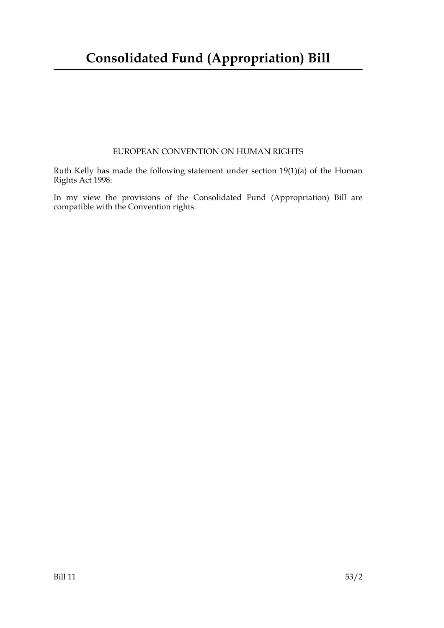## **Consolidated Fund (Appropriation) Bill**

#### EUROPEAN CONVENTION ON HUMAN RIGHTS

Ruth Kelly has made the following statement under section 19(1)(a) of the Human Rights Act 1998:

In my view the provisions of the Consolidated Fund (Appropriation) Bill are compatible with the Convention rights.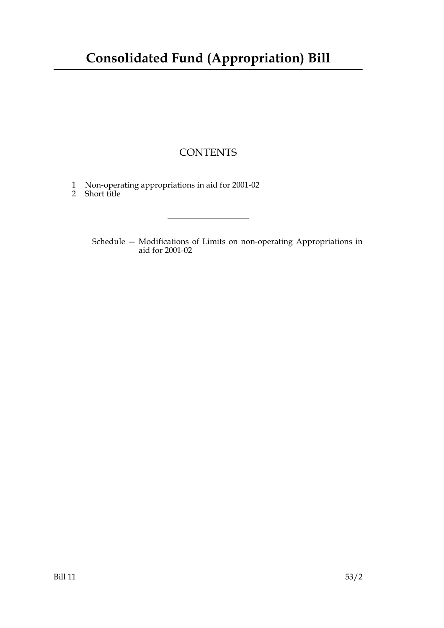# **Consolidated Fund (Appropriation) Bill**

### **CONTENTS**

- 1 Non-operating appropriations in aid for 2001-02
- 2 Short title

Schedule — Modifications of Limits on non-operating Appropriations in aid for 2001-02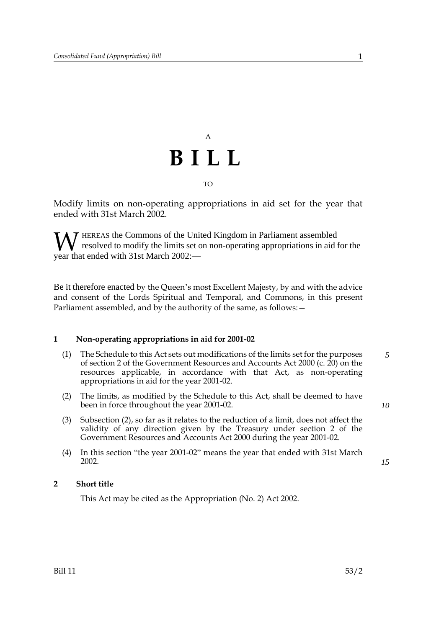

Modify limits on non-operating appropriations in aid set for the year that ended with 31st March 2002.

HEREAS the Commons of the United Kingdom in Parliament assembled resolved to modify the limits set on non-operating appropriations in aid for the **W** resolved to modify the limits set of<br>year that ended with 31st March 2002:—

Be it therefore enacted by the Queen's most Excellent Majesty, by and with the advice and consent of the Lords Spiritual and Temporal, and Commons, in this present Parliament assembled, and by the authority of the same, as follows:  $-$ 

#### <span id="page-4-0"></span>**1 Non-operating appropriations in aid for 2001-02**

- (1) The Schedule to this Act sets out modifications of the limits set for the purposes of section 2 of the Government Resources and Accounts Act 2000 (c. 20) on the resources applicable, in accordance with that Act, as non-operating appropriations in aid for the year 2001-02. *5*
- (2) The limits, as modified by the Schedule to this Act, shall be deemed to have been in force throughout the year 2001-02.
- (3) Subsection (2), so far as it relates to the reduction of a limit, does not affect the validity of any direction given by the Treasury under section 2 of the Government Resources and Accounts Act 2000 during the year 2001-02.
- (4) In this section "the year 2001-02" means the year that ended with 31st March 2002.

#### **2 Short title**

This Act may be cited as the Appropriation (No. 2) Act 2002.

*10*

*15*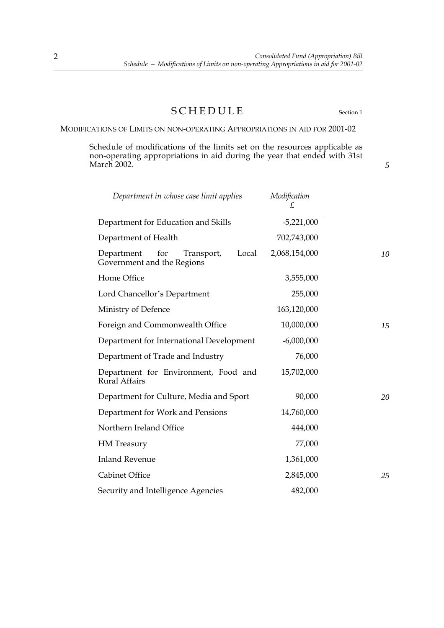### SCHEDULE Section [1](#page-4-0)

*5*

MODIFICATIONS OF LIMITS ON NON-OPERATING APPROPRIATIONS IN AID FOR 2001-02

Schedule of modifications of the limits set on the resources applicable as non-operating appropriations in aid during the year that ended with 31st March 2002.

| Department in whose case limit applies                                 | Modification<br>£ |
|------------------------------------------------------------------------|-------------------|
| Department for Education and Skills                                    | $-5,221,000$      |
| Department of Health                                                   | 702,743,000       |
| for<br>Local<br>Department<br>Transport,<br>Government and the Regions | 2,068,154,000     |
| Home Office                                                            | 3,555,000         |
| Lord Chancellor's Department                                           | 255,000           |
| Ministry of Defence                                                    | 163,120,000       |
| Foreign and Commonwealth Office                                        | 10,000,000        |
| Department for International Development                               | $-6,000,000$      |
| Department of Trade and Industry                                       | 76,000            |
| Department for Environment, Food and<br><b>Rural Affairs</b>           | 15,702,000        |
| Department for Culture, Media and Sport                                | 90,000            |
| Department for Work and Pensions                                       | 14,760,000        |
| Northern Ireland Office                                                | 444,000           |
| <b>HM</b> Treasury                                                     | 77,000            |
| <b>Inland Revenue</b>                                                  | 1,361,000         |
| <b>Cabinet Office</b>                                                  | 2,845,000         |
| Security and Intelligence Agencies                                     | 482,000           |